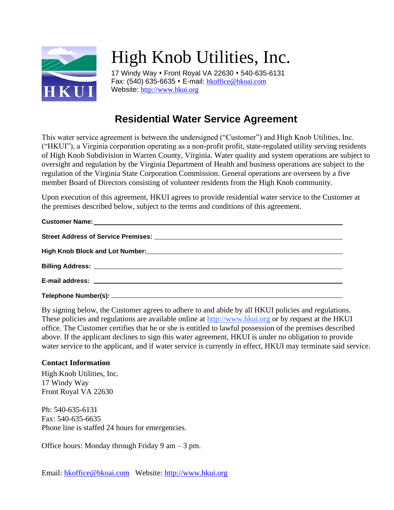

## High Knob Utilities, Inc.

17 Windy Way ⬧ Front Royal VA 22630 ⬧ 540-635-6131 Fax: (540) 635-6635 ⬧ E-mail: [hkoffice@hkoai.com](mailto:hkoffice@hkoai.com) Website: [http://www.hkui.org](http://www.hkui.org/)

## **Residential Water Service Agreement**

This water service agreement is between the undersigned ("Customer") and High Knob Utilities, Inc. ("HKUI"), a Virginia corporation operating as a non-profit profit, state-regulated utility serving residents of High Knob Subdivision in Warren County, Virginia. Water quality and system operations are subject to oversight and regulation by the Virginia Department of Health and business operations are subject to the regulation of the Virginia State Corporation Commission. General operations are overseen by a five member Board of Directors consisting of volunteer residents from the High Knob community.

Upon execution of this agreement, HKUI agrees to provide residential water service to the Customer at the premises described below, subject to the terms and conditions of this agreement.

| Customer Name: <u>Customer Name:</u> Customer Name: Customer Name: Customer Name: Customer Name: Customer Name: Customer Name: Customer Name: Customer Name: Customer Name: Customer Name: Customer Name: Customer Name: Customer N  |
|--------------------------------------------------------------------------------------------------------------------------------------------------------------------------------------------------------------------------------------|
|                                                                                                                                                                                                                                      |
|                                                                                                                                                                                                                                      |
| Billing Address: <u>www.community.com and a series of the series of the series of the series of the series of the series of the series of the series of the series of the series of the series of the series of the series of th</u> |
|                                                                                                                                                                                                                                      |
|                                                                                                                                                                                                                                      |

By signing below, the Customer agrees to adhere to and abide by all HKUI policies and regulations. These policies and regulations are available online at [http://www.hkui.org](http://www.hkui.org/) or by request at the HKUI office. The Customer certifies that he or she is entitled to lawful possession of the premises described above. If the applicant declines to sign this water agreement, HKUI is under no obligation to provide water service to the applicant, and if water service is currently in effect, HKUI may terminate said service.

## **Contact Information**

High Knob Utilities, Inc. 17 Windy Way Front Royal VA 22630

Ph: 540-635-6131 Fax: 540-635-6635 Phone line is staffed 24 hours for emergencies.

Office hours: Monday through Friday 9 am – 3 pm.